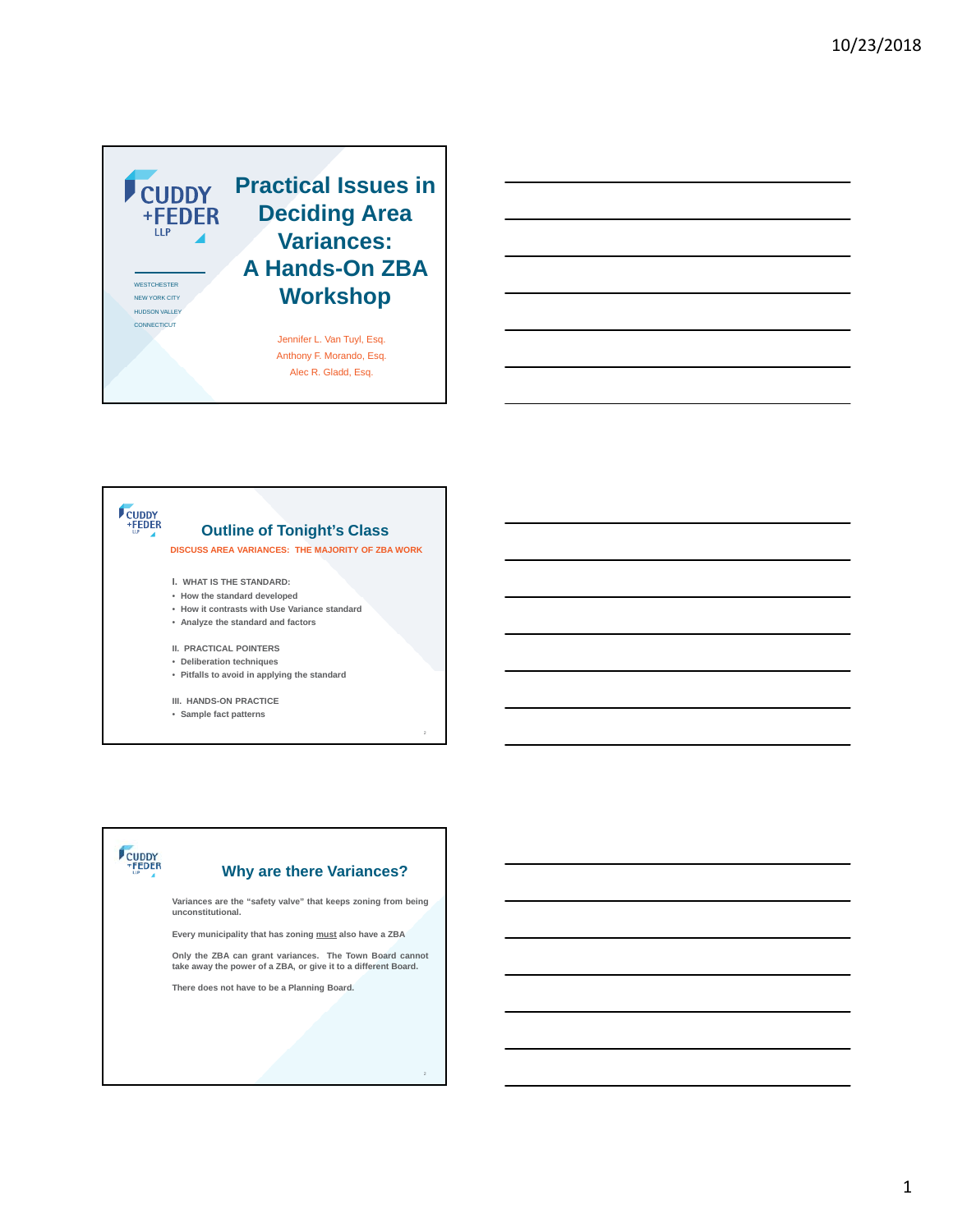

### CUDDY<br>+FEDER **Outline of Tonight's Class DISCUSS AREA VARIANCES: THE MAJORITY OF ZBA WORK**

**I. WHAT IS THE STANDARD:**

- **How the standard developed**
- **How it contrasts with Use Variance standard**
- **Analyze the standard and factors**

**II. PRACTICAL POINTERS**

- **Deliberation techniques**
- **Pitfalls to avoid in applying the standard**

**III. HANDS-ON PRACTICE**

• **Sample fact patterns**

# CUDDY

### **Why are there Variances?**

**Variances are the "safety valve" that keeps zoning from being unconstitutional.**

**Every municipality that has zoning must also have a ZBA**

**Only the ZBA can grant variances. The Town Board cannot take away the power of a ZBA, or give it to a different Board.**

**There does not have to be a Planning Board.**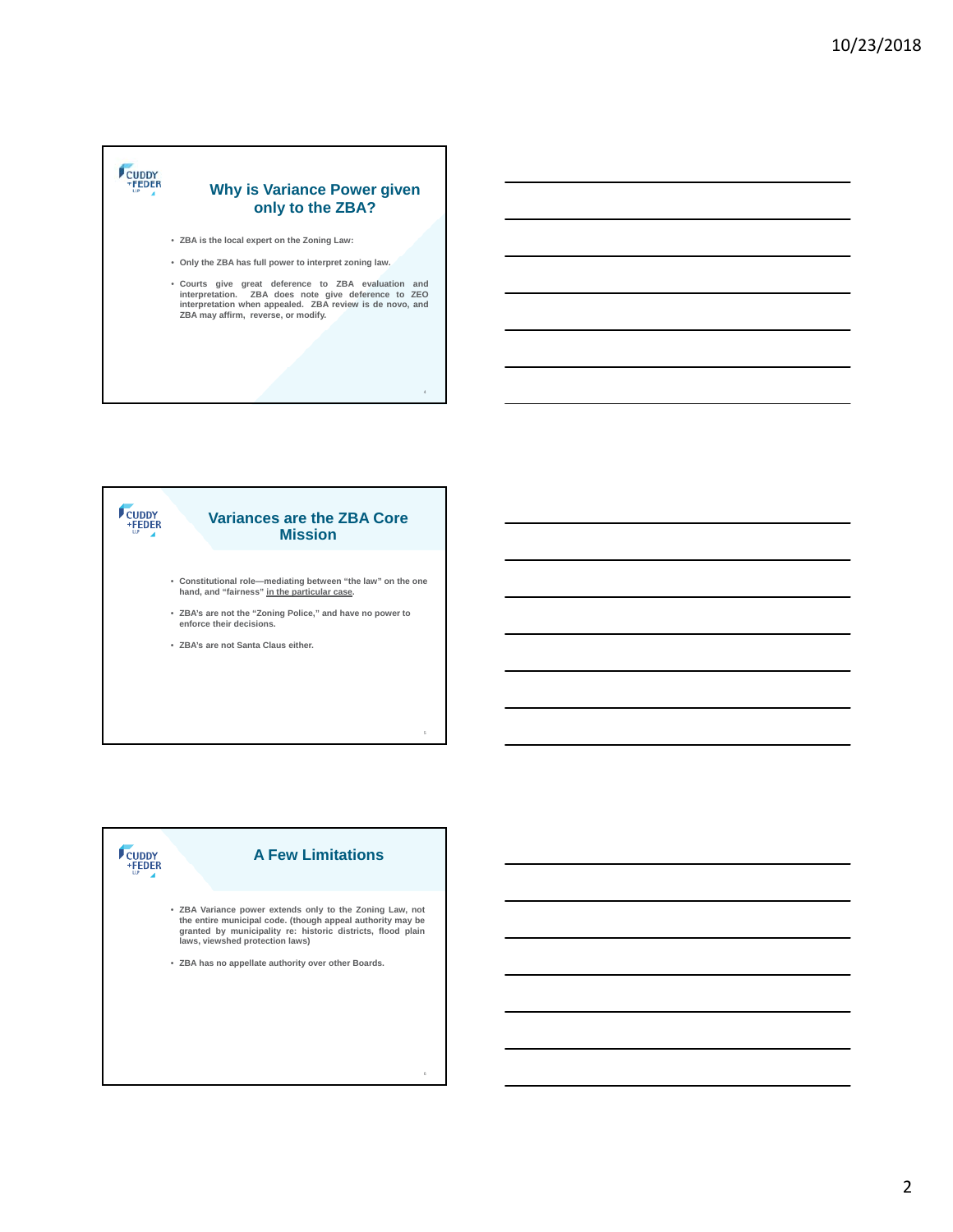### CUDDY **Why is Variance Power given only to the ZBA?**

- **ZBA is the local expert on the Zoning Law:**
- **Only the ZBA has full power to interpret zoning law.**
- **Courts give great deference to ZBA evaluation and interpretation. ZBA does note give deference to ZEO interpretation when appealed. ZBA review is de novo, and ZBA may affirm, reverse, or modify.**

## CUDDY<br>FEDER **Variances are the ZBA Core Mission** • **Constitutional role—mediating between "the law" on the one hand, and "fairness" in the particular case.**

- **ZBA's are not the "Zoning Police," and have no power to**
- **enforce their decisions.**
- **ZBA's are not Santa Claus either.**

**CUDDY**<br>
+FEDER

### **A Few Limitations**

- ZBA Variance power extends only to the Zoning Law, not<br>the entire municipal code. (though appeal authority may be<br>granted by municipality re: historic districts, flood plain<br>laws, viewshed protection laws)
- **ZBA has no appellate authority over other Boards.**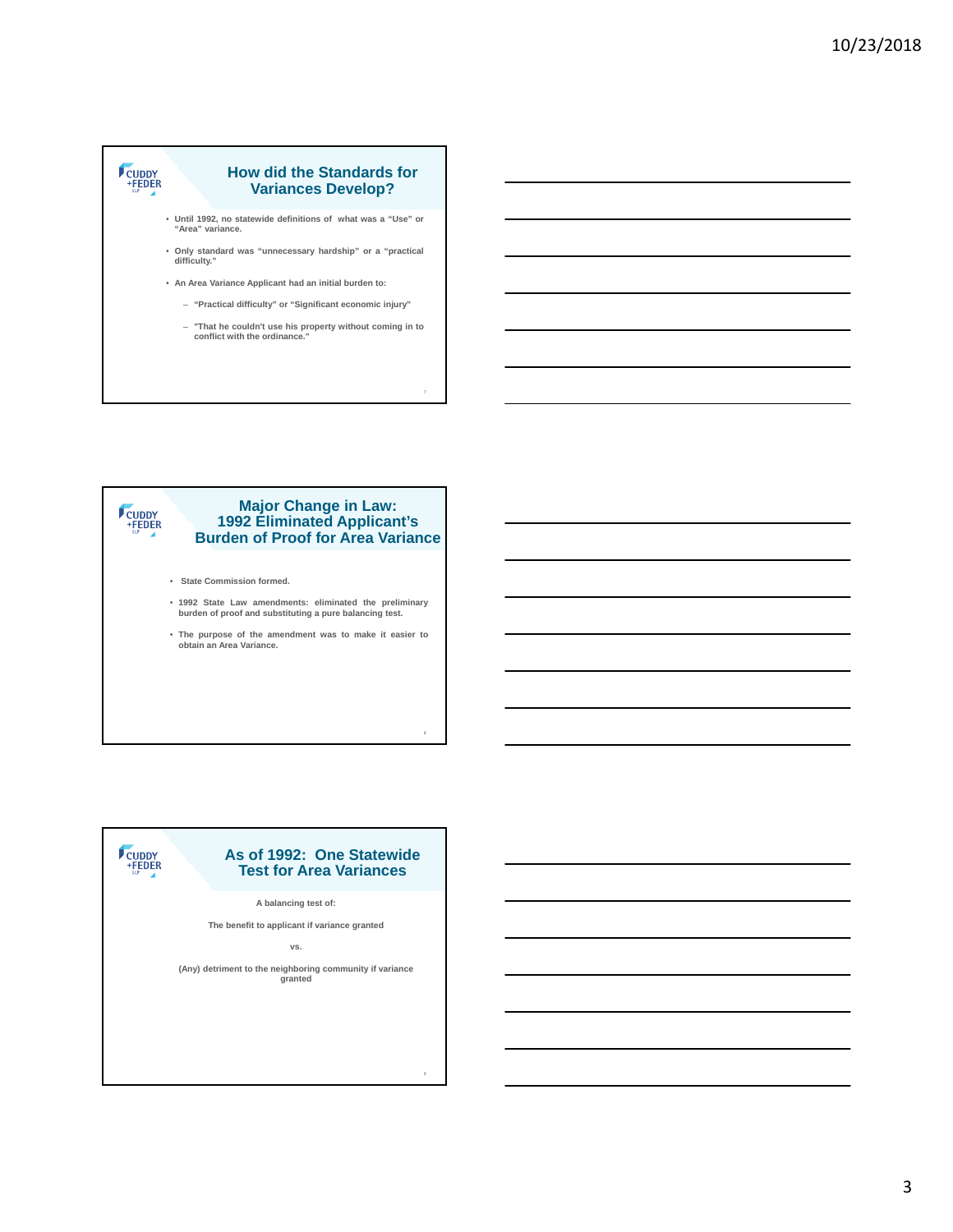

#### **Major Change in Law:**  CUDDY<br>FEDER **1992 Eliminated Applicant's Burden of Proof for Area Variance**

• **State Commission formed.**

CUDDY<br>+FEDER

- **1992 State Law amendments: eliminated the preliminary burden of proof and substituting a pure balancing test.**
- **The purpose of the amendment was to make it easier to obtain an Area Variance.**

8

9

### **As of 1992: One Statewide Test for Area Variances A balancing test of:**

**The benefit to applicant if variance granted**

**vs.**

**(Any) detriment to the neighboring community if variance granted**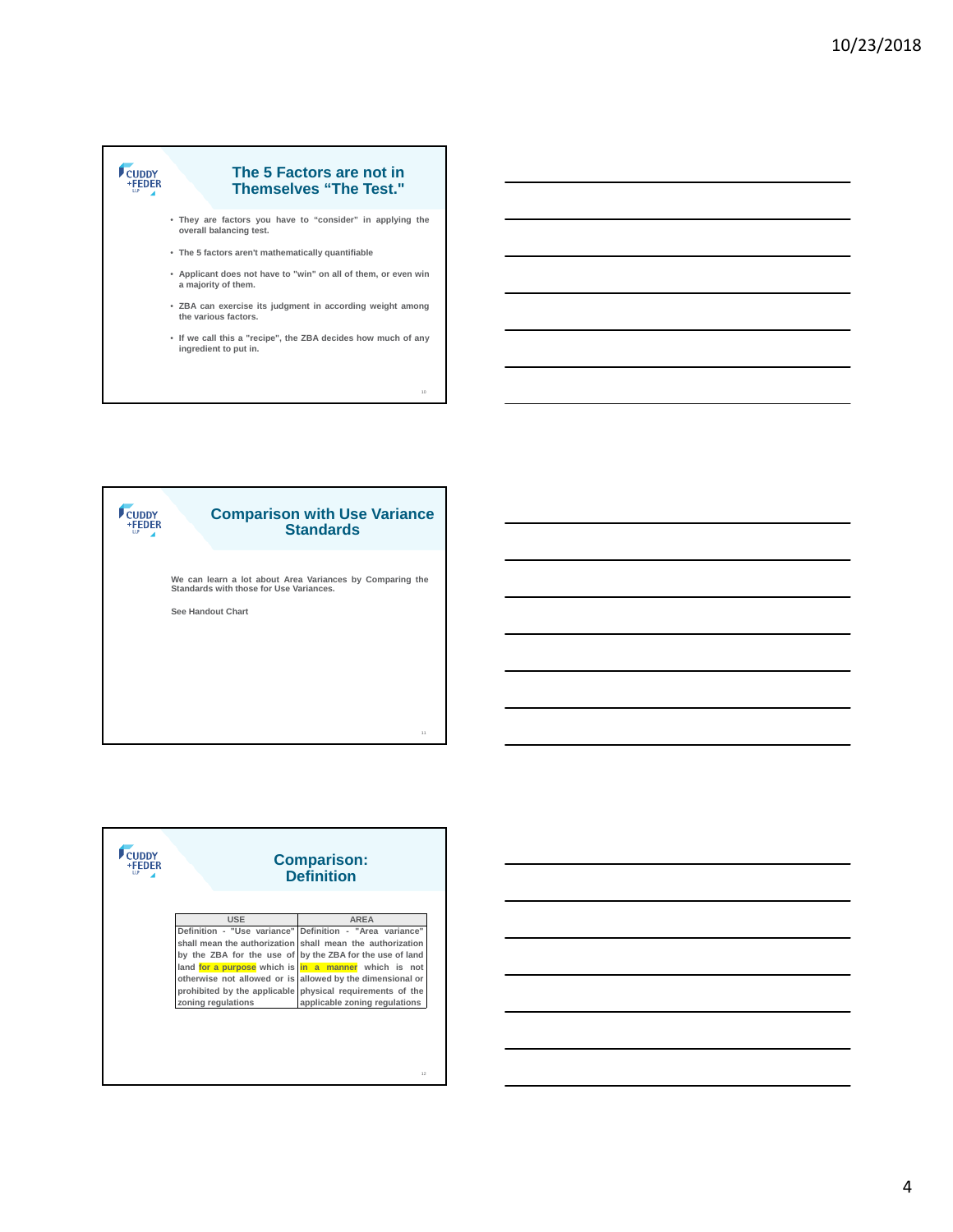





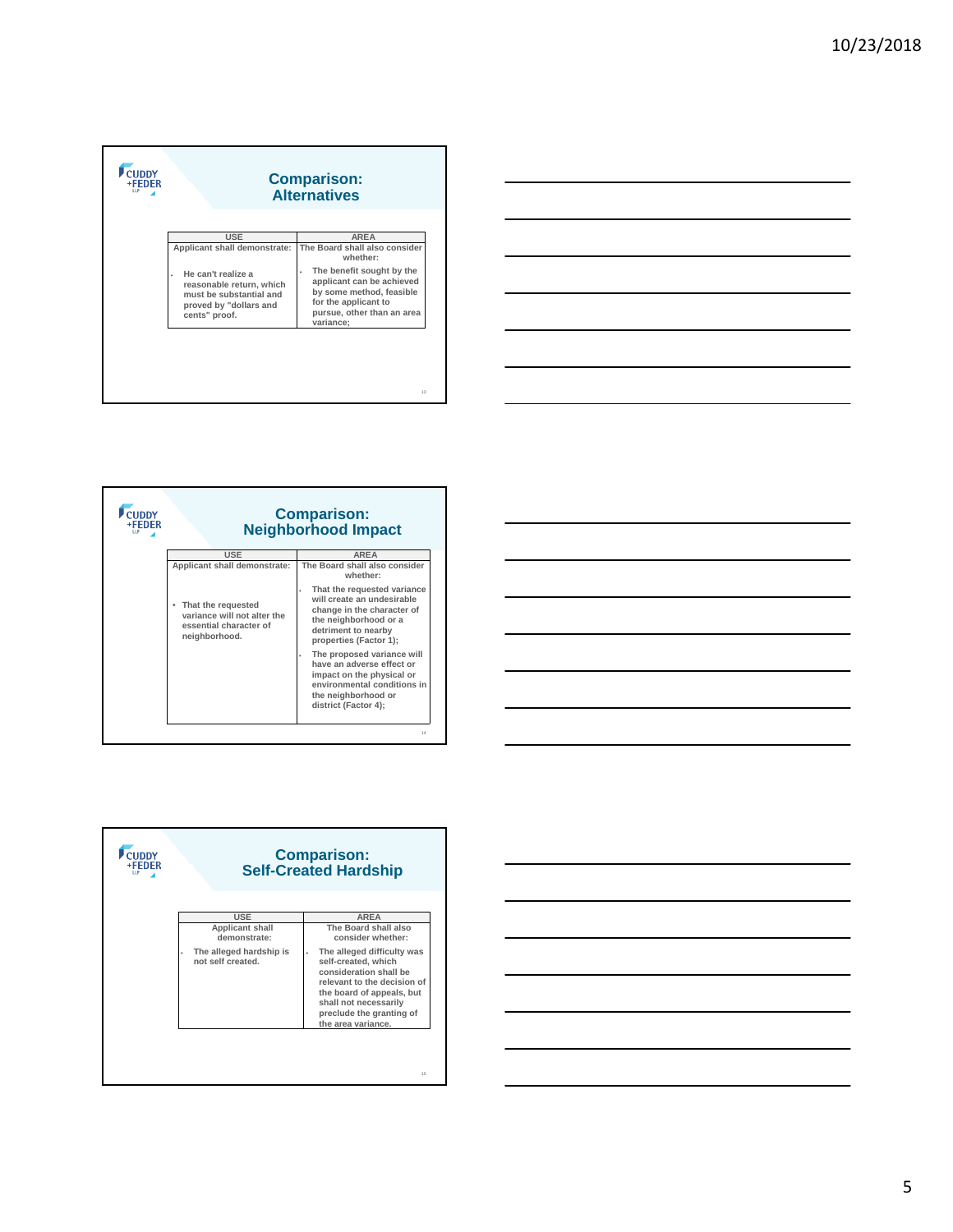| +FEDER<br><b>TTP</b> | <b>Comparison:</b><br><b>Alternatives</b>                                                                                 |                                                                                                                                                            |
|----------------------|---------------------------------------------------------------------------------------------------------------------------|------------------------------------------------------------------------------------------------------------------------------------------------------------|
|                      | <b>USE</b><br>Applicant shall demonstrate:                                                                                | <b>AREA</b><br>The Board shall also consider<br>whether <sup>.</sup>                                                                                       |
|                      | He can't realize a<br>×<br>reasonable return, which<br>must be substantial and<br>proved by "dollars and<br>cents" proof. | The benefit sought by the<br>٠<br>applicant can be achieved<br>by some method, feasible<br>for the applicant to<br>pursue, other than an area<br>variance; |
|                      |                                                                                                                           | 13                                                                                                                                                         |









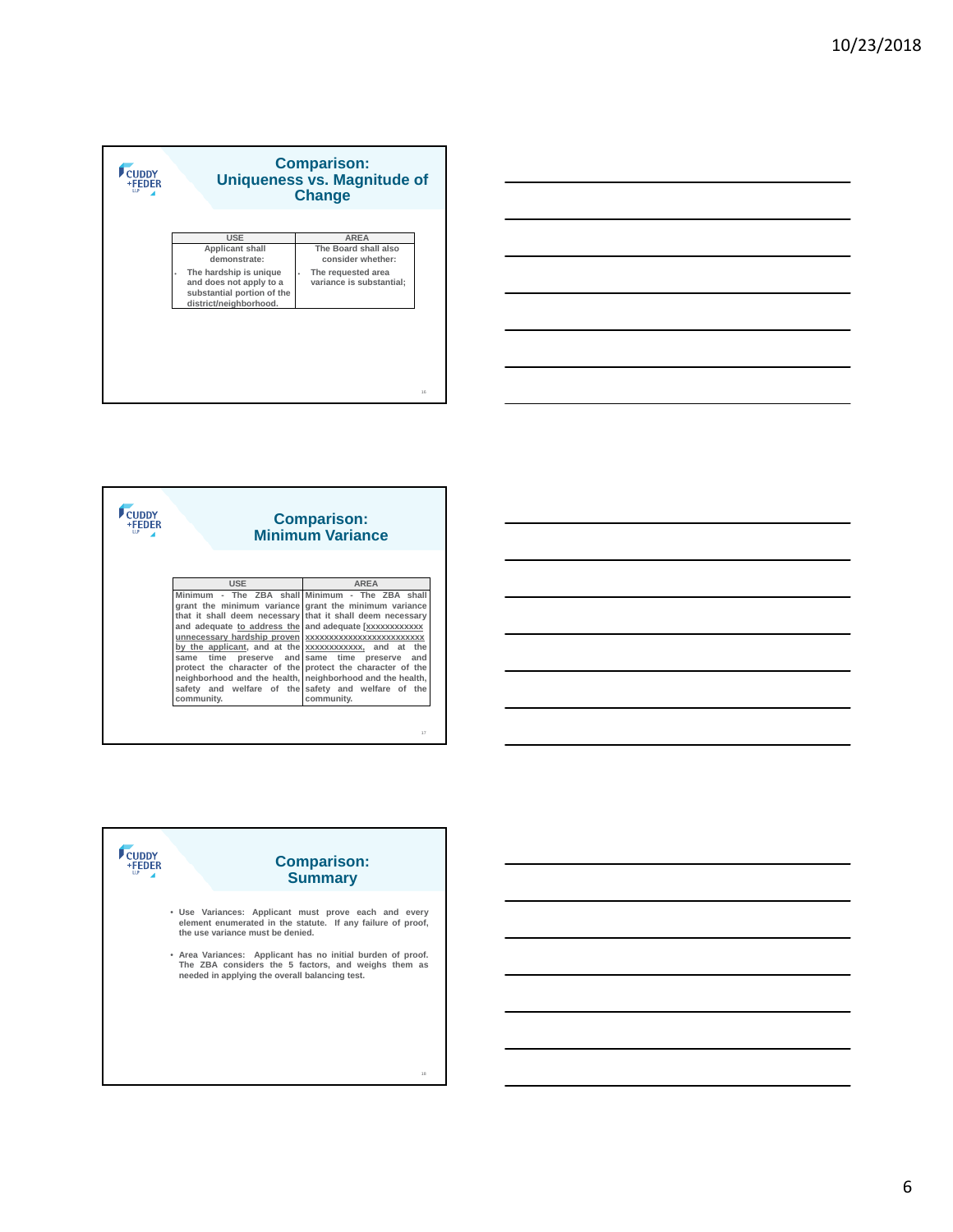





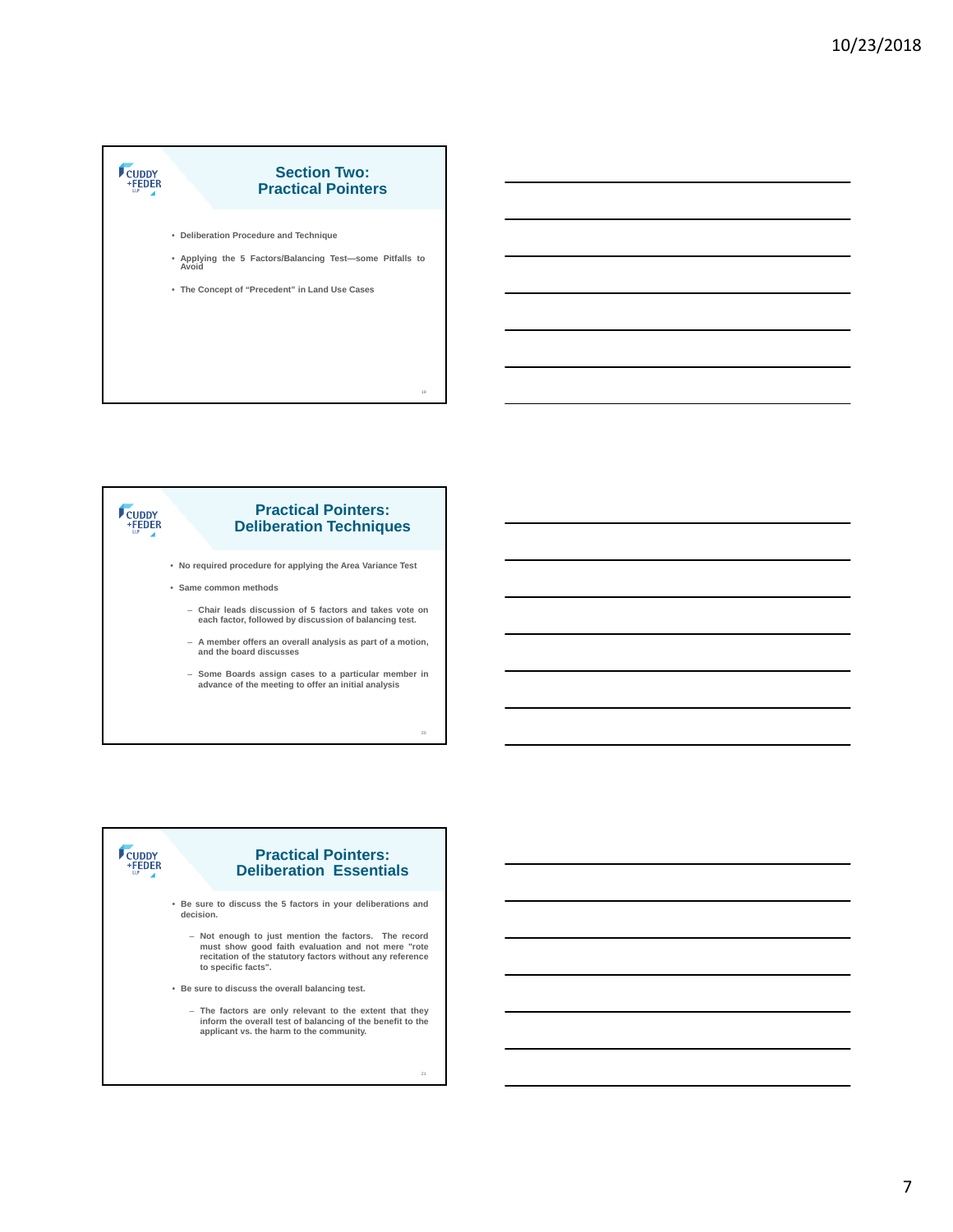# CUDDY<br>+FEDER **Section Two: Practical Pointers** • **Deliberation Procedure and Technique** • **Applying the 5 Factors/Balancing Test—some Pitfalls to Avoid** • **The Concept of "Precedent" in Land Use Cases**



20



7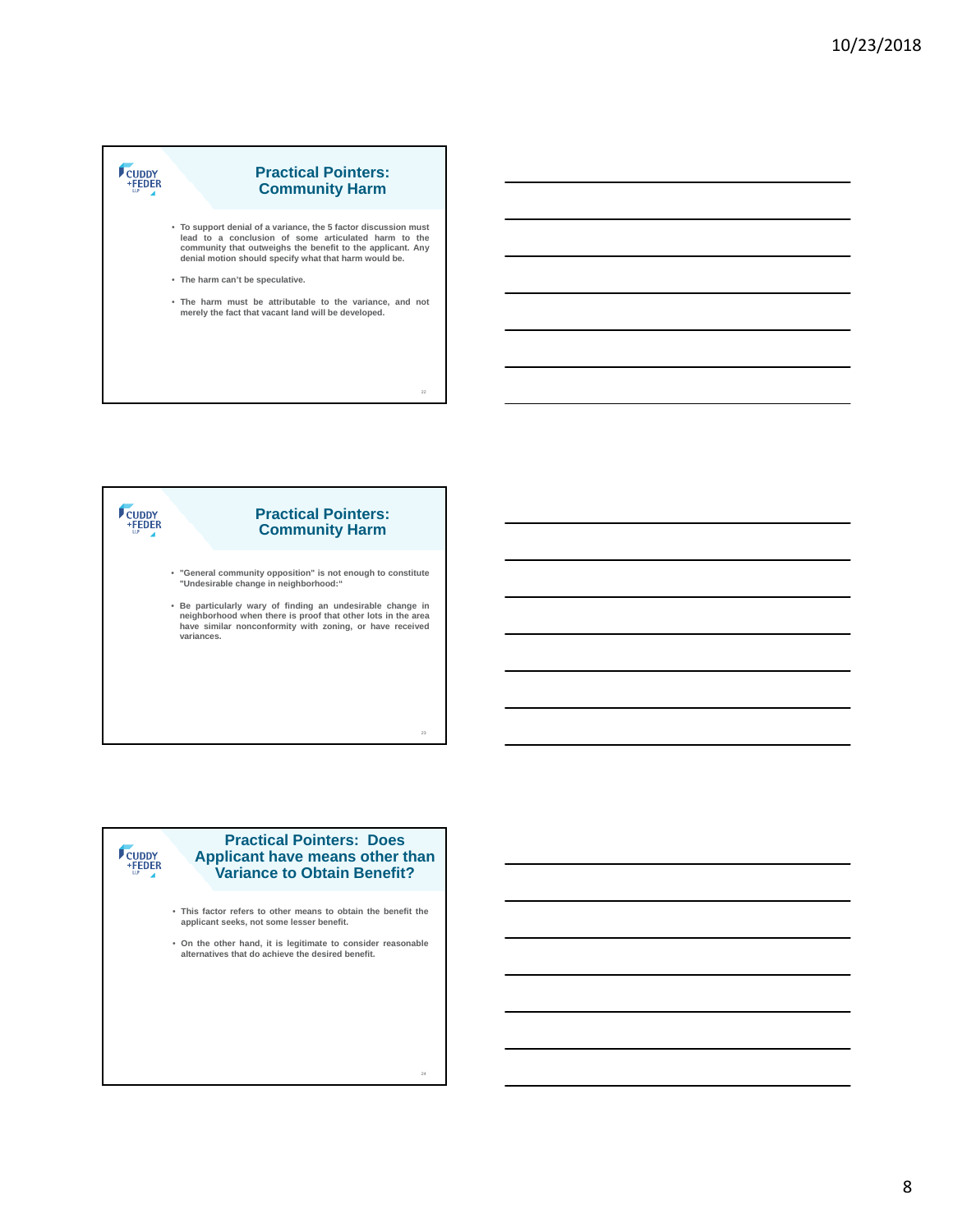# CUDDY<br>+FEDER **Practical Pointers: Community Harm** • **To support denial of a variance, the 5 factor discussion must lead to a conclusion of some articulated harm to the community that outweighs the benefit to the applicant. Any denial motion should specify what that harm would be.** • **The harm can't be speculative.** • **The harm must be attributable to the variance, and not merely the fact that vacant land will be developed.** 22





• **On the other hand, it is legitimate to consider reasonable alternatives that do achieve the desired benefit.**

24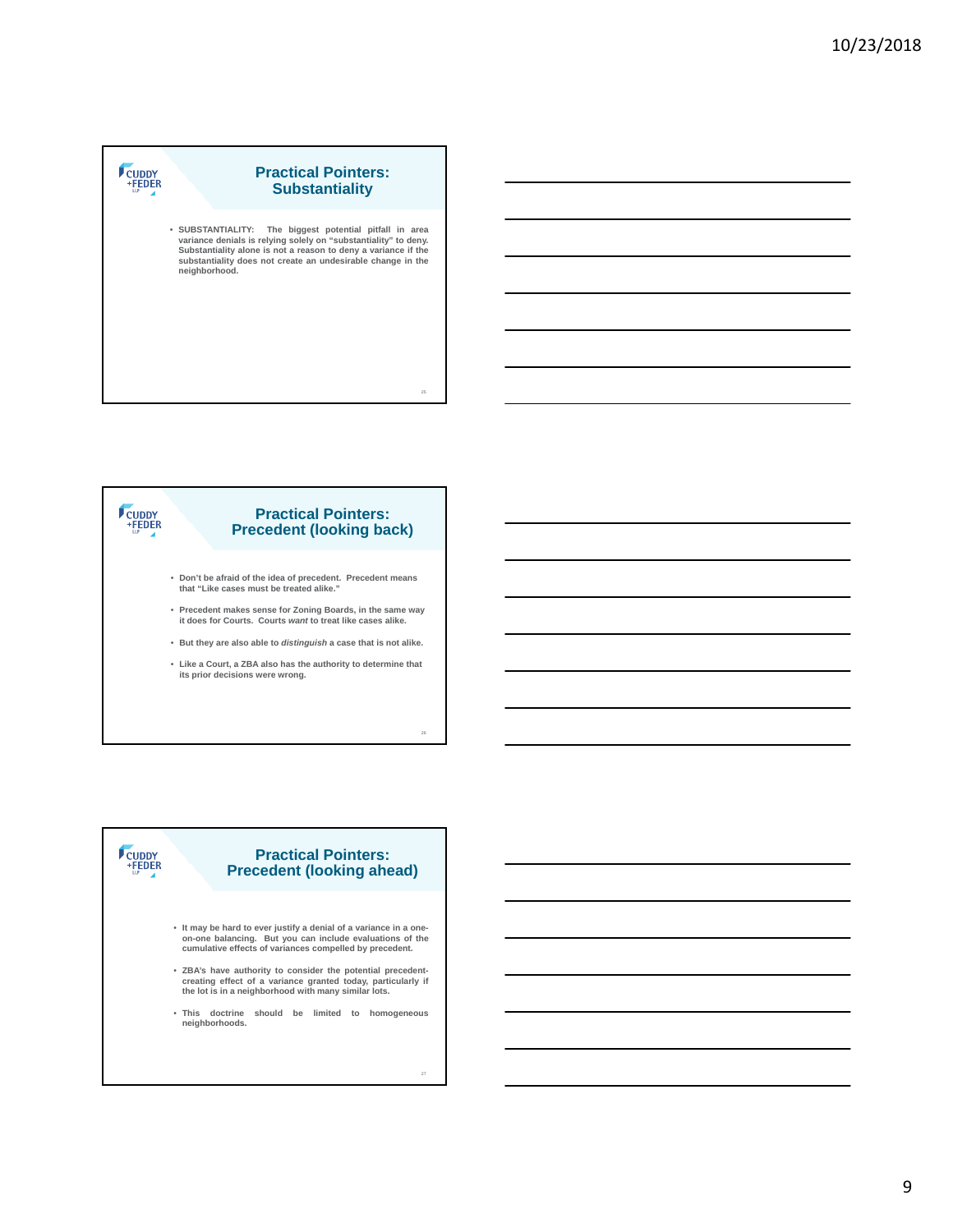### CUDDY<br>+FEDER **Practical Pointers: Substantiality**

• SUBSTANTIALITY: The biggest potential pitfall in area<br>variance denials is relying solely on "substantiality" to deny.<br>Substantiality alone is not a reason to deny a variance if the<br>substantiality does not create an undes **neighborhood.**

25

26

### CUDDY<br>FEDER **Practical Pointers: Precedent (looking back)**

- **Don't be afraid of the idea of precedent. Precedent means that "Like cases must be treated alike."**
- **Precedent makes sense for Zoning Boards, in the same way it does for Courts. Courts** *want* **to treat like cases alike.**
- **But they are also able to** *distinguish* **a case that is not alike.**
- **Like a Court, a ZBA also has the authority to determine that its prior decisions were wrong.**

# CUDDY<br>+FEDER

### **Practical Pointers: Precedent (looking ahead)**

- **It may be hard to ever justify a denial of a variance in a oneon-one balancing. But you can include evaluations of the cumulative effects of variances compelled by precedent.**
- **ZBA's have authority to consider the potential precedent-creating effect of a variance granted today, particularly if the lot is in a neighborhood with many similar lots.**
- **This doctrine should be limited to homogeneous neighborhoods.**